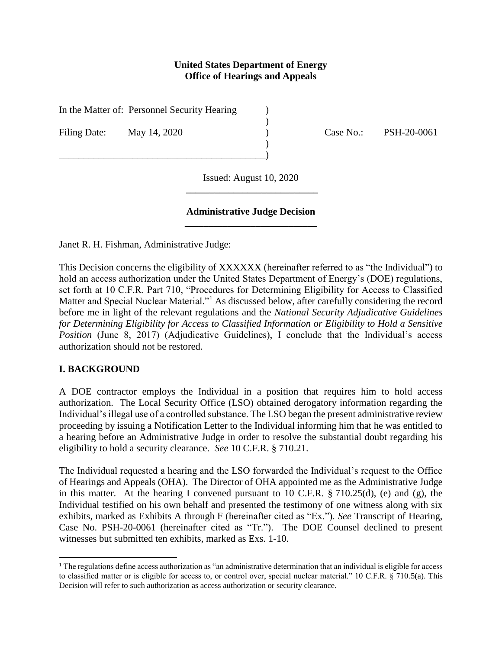### **United States Department of Energy Office of Hearings and Appeals**

)

)

In the Matter of: Personnel Security Hearing (1)

\_\_\_\_\_\_\_\_\_\_\_\_\_\_\_\_\_\_\_\_\_\_\_\_\_\_\_\_\_\_\_\_\_\_\_\_\_\_\_\_\_\_)

Filing Date: May 14, 2020 (ase No.: PSH-20-0061

Issued: August 10, 2020 **\_\_\_\_\_\_\_\_\_\_\_\_\_\_\_\_\_\_\_\_\_\_\_\_\_\_\_\_**

#### **Administrative Judge Decision \_\_\_\_\_\_\_\_\_\_\_\_\_\_\_\_\_\_\_\_\_\_\_\_\_\_\_\_**

Janet R. H. Fishman, Administrative Judge:

This Decision concerns the eligibility of XXXXXX (hereinafter referred to as "the Individual") to hold an access authorization under the United States Department of Energy's (DOE) regulations, set forth at 10 C.F.R. Part 710, "Procedures for Determining Eligibility for Access to Classified Matter and Special Nuclear Material."<sup>1</sup> As discussed below, after carefully considering the record before me in light of the relevant regulations and the *National Security Adjudicative Guidelines for Determining Eligibility for Access to Classified Information or Eligibility to Hold a Sensitive Position* (June 8, 2017) (Adjudicative Guidelines), I conclude that the Individual's access authorization should not be restored.

# **I. BACKGROUND**

 $\overline{\phantom{a}}$ 

A DOE contractor employs the Individual in a position that requires him to hold access authorization. The Local Security Office (LSO) obtained derogatory information regarding the Individual's illegal use of a controlled substance. The LSO began the present administrative review proceeding by issuing a Notification Letter to the Individual informing him that he was entitled to a hearing before an Administrative Judge in order to resolve the substantial doubt regarding his eligibility to hold a security clearance. *See* 10 C.F.R. § 710.21.

The Individual requested a hearing and the LSO forwarded the Individual's request to the Office of Hearings and Appeals (OHA). The Director of OHA appointed me as the Administrative Judge in this matter. At the hearing I convened pursuant to 10 C.F.R. § 710.25(d), (e) and (g), the Individual testified on his own behalf and presented the testimony of one witness along with six exhibits, marked as Exhibits A through F (hereinafter cited as "Ex."). *See* Transcript of Hearing, Case No. PSH-20-0061 (hereinafter cited as "Tr."). The DOE Counsel declined to present witnesses but submitted ten exhibits, marked as Exs. 1-10.

<sup>&</sup>lt;sup>1</sup> The regulations define access authorization as "an administrative determination that an individual is eligible for access to classified matter or is eligible for access to, or control over, special nuclear material." 10 C.F.R. § 710.5(a). This Decision will refer to such authorization as access authorization or security clearance.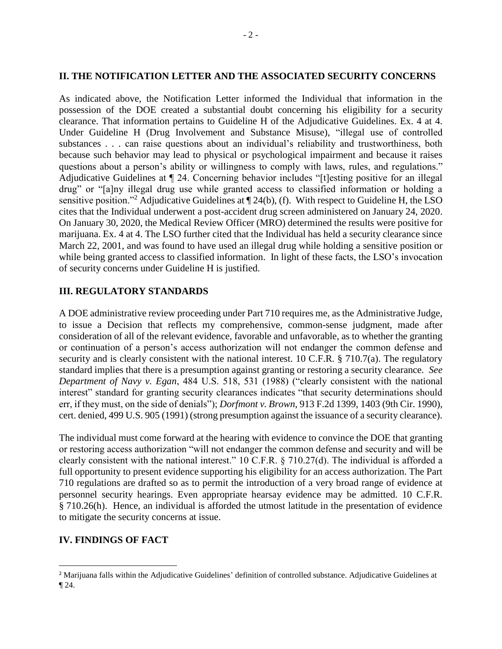### **II. THE NOTIFICATION LETTER AND THE ASSOCIATED SECURITY CONCERNS**

As indicated above, the Notification Letter informed the Individual that information in the possession of the DOE created a substantial doubt concerning his eligibility for a security clearance. That information pertains to Guideline H of the Adjudicative Guidelines. Ex. 4 at 4. Under Guideline H (Drug Involvement and Substance Misuse), "illegal use of controlled substances . . . can raise questions about an individual's reliability and trustworthiness, both because such behavior may lead to physical or psychological impairment and because it raises questions about a person's ability or willingness to comply with laws, rules, and regulations." Adjudicative Guidelines at ¶ 24. Concerning behavior includes "[t]esting positive for an illegal drug" or "[a]ny illegal drug use while granted access to classified information or holding a sensitive position."<sup>2</sup> Adjudicative Guidelines at ¶ 24(b), (f). With respect to Guideline H, the LSO cites that the Individual underwent a post-accident drug screen administered on January 24, 2020. On January 30, 2020, the Medical Review Officer (MRO) determined the results were positive for marijuana. Ex. 4 at 4. The LSO further cited that the Individual has held a security clearance since March 22, 2001, and was found to have used an illegal drug while holding a sensitive position or while being granted access to classified information. In light of these facts, the LSO's invocation of security concerns under Guideline H is justified.

# **III. REGULATORY STANDARDS**

A DOE administrative review proceeding under Part 710 requires me, as the Administrative Judge, to issue a Decision that reflects my comprehensive, common-sense judgment, made after consideration of all of the relevant evidence, favorable and unfavorable, as to whether the granting or continuation of a person's access authorization will not endanger the common defense and security and is clearly consistent with the national interest. 10 C.F.R. § 710.7(a). The regulatory standard implies that there is a presumption against granting or restoring a security clearance. *See Department of Navy v. Egan*, 484 U.S. 518, 531 (1988) ("clearly consistent with the national interest" standard for granting security clearances indicates "that security determinations should err, if they must, on the side of denials"); *Dorfmont v. Brown*, 913 F.2d 1399, 1403 (9th Cir. 1990), cert. denied, 499 U.S. 905 (1991) (strong presumption against the issuance of a security clearance).

The individual must come forward at the hearing with evidence to convince the DOE that granting or restoring access authorization "will not endanger the common defense and security and will be clearly consistent with the national interest." 10 C.F.R. § 710.27(d). The individual is afforded a full opportunity to present evidence supporting his eligibility for an access authorization. The Part 710 regulations are drafted so as to permit the introduction of a very broad range of evidence at personnel security hearings. Even appropriate hearsay evidence may be admitted. 10 C.F.R. § 710.26(h). Hence, an individual is afforded the utmost latitude in the presentation of evidence to mitigate the security concerns at issue.

# **IV. FINDINGS OF FACT**

l

<sup>&</sup>lt;sup>2</sup> Marijuana falls within the Adjudicative Guidelines' definition of controlled substance. Adjudicative Guidelines at ¶ 24.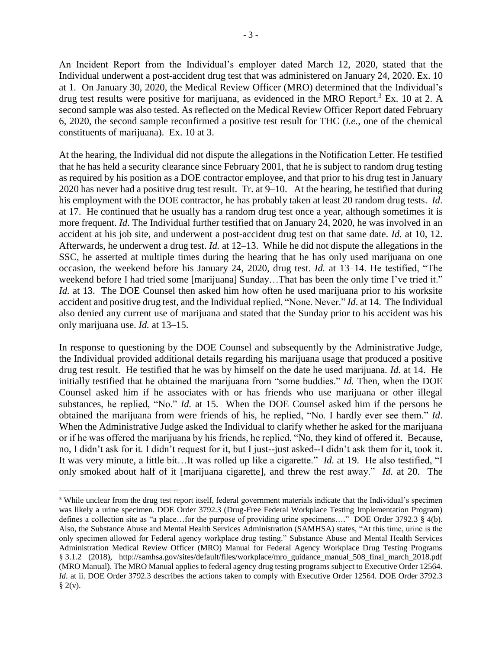An Incident Report from the Individual's employer dated March 12, 2020, stated that the Individual underwent a post-accident drug test that was administered on January 24, 2020. Ex. 10 at 1. On January 30, 2020, the Medical Review Officer (MRO) determined that the Individual's drug test results were positive for marijuana, as evidenced in the MRO Report.<sup>3</sup> Ex. 10 at 2. A second sample was also tested. As reflected on the Medical Review Officer Report dated February 6, 2020, the second sample reconfirmed a positive test result for THC (*i.e.*, one of the chemical constituents of marijuana). Ex. 10 at 3.

At the hearing, the Individual did not dispute the allegations in the Notification Letter. He testified that he has held a security clearance since February 2001, that he is subject to random drug testing as required by his position as a DOE contractor employee, and that prior to his drug test in January 2020 has never had a positive drug test result. Tr. at 9–10. At the hearing, he testified that during his employment with the DOE contractor, he has probably taken at least 20 random drug tests. *Id*. at 17. He continued that he usually has a random drug test once a year, although sometimes it is more frequent. *Id*. The Individual further testified that on January 24, 2020, he was involved in an accident at his job site, and underwent a post-accident drug test on that same date. *Id.* at 10, 12. Afterwards, he underwent a drug test. *Id.* at 12–13. While he did not dispute the allegations in the SSC, he asserted at multiple times during the hearing that he has only used marijuana on one occasion, the weekend before his January 24, 2020, drug test. *Id.* at 13–14. He testified, "The weekend before I had tried some [marijuana] Sunday…That has been the only time I've tried it." *Id.* at 13. The DOE Counsel then asked him how often he used marijuana prior to his worksite accident and positive drug test, and the Individual replied, "None. Never." *Id*. at 14. The Individual also denied any current use of marijuana and stated that the Sunday prior to his accident was his only marijuana use. *Id.* at 13–15.

In response to questioning by the DOE Counsel and subsequently by the Administrative Judge, the Individual provided additional details regarding his marijuana usage that produced a positive drug test result. He testified that he was by himself on the date he used marijuana. *Id.* at 14. He initially testified that he obtained the marijuana from "some buddies." *Id.* Then, when the DOE Counsel asked him if he associates with or has friends who use marijuana or other illegal substances, he replied, "No." *Id.* at 15. When the DOE Counsel asked him if the persons he obtained the marijuana from were friends of his, he replied, "No. I hardly ever see them." *Id*. When the Administrative Judge asked the Individual to clarify whether he asked for the marijuana or if he was offered the marijuana by his friends, he replied, "No, they kind of offered it. Because, no, I didn't ask for it. I didn't request for it, but I just--just asked--I didn't ask them for it, took it. It was very minute, a little bit…It was rolled up like a cigarette." *Id.* at 19. He also testified, "I only smoked about half of it [marijuana cigarette], and threw the rest away." *Id*. at 20. The

 $\overline{\phantom{a}}$ 

<sup>&</sup>lt;sup>3</sup> While unclear from the drug test report itself, federal government materials indicate that the Individual's specimen was likely a urine specimen. DOE Order 3792.3 (Drug-Free Federal Workplace Testing Implementation Program) defines a collection site as "a place…for the purpose of providing urine specimens…." DOE Order 3792.3 § 4(b). Also, the Substance Abuse and Mental Health Services Administration (SAMHSA) states, "At this time, urine is the only specimen allowed for Federal agency workplace drug testing." Substance Abuse and Mental Health Services Administration Medical Review Officer (MRO) Manual for Federal Agency Workplace Drug Testing Programs § 3.1.2 (2018), [http://samhsa.gov/sites/default/files/workplace/mro\\_guidance\\_manual\\_508\\_final\\_march\\_2018.pdf](http://samhsa.gov/sites/default/files/workplace/mro_guidance_manual_508_final_march_2018.pdf) (MRO Manual). The MRO Manual applies to federal agency drug testing programs subject to Executive Order 12564. *Id.* at ii. DOE Order 3792.3 describes the actions taken to comply with Executive Order 12564. DOE Order 3792.3  $\S$  2(v).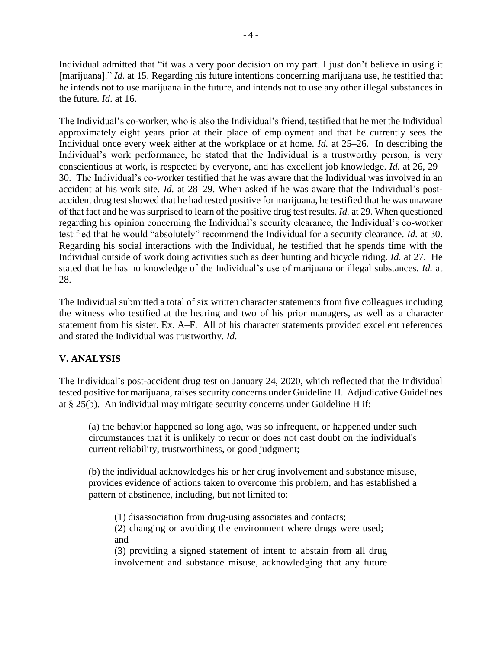Individual admitted that "it was a very poor decision on my part. I just don't believe in using it [marijuana]." *Id*. at 15. Regarding his future intentions concerning marijuana use, he testified that he intends not to use marijuana in the future, and intends not to use any other illegal substances in the future. *Id*. at 16.

The Individual's co-worker, who is also the Individual's friend, testified that he met the Individual approximately eight years prior at their place of employment and that he currently sees the Individual once every week either at the workplace or at home. *Id.* at 25–26. In describing the Individual's work performance, he stated that the Individual is a trustworthy person, is very conscientious at work, is respected by everyone, and has excellent job knowledge. *Id.* at 26, 29– 30. The Individual's co-worker testified that he was aware that the Individual was involved in an accident at his work site. *Id.* at 28–29. When asked if he was aware that the Individual's postaccident drug test showed that he had tested positive for marijuana, he testified that he was unaware of that fact and he was surprised to learn of the positive drug test results. *Id.* at 29. When questioned regarding his opinion concerning the Individual's security clearance, the Individual's co-worker testified that he would "absolutely" recommend the Individual for a security clearance. *Id.* at 30. Regarding his social interactions with the Individual, he testified that he spends time with the Individual outside of work doing activities such as deer hunting and bicycle riding. *Id.* at 27. He stated that he has no knowledge of the Individual's use of marijuana or illegal substances. *Id.* at 28.

The Individual submitted a total of six written character statements from five colleagues including the witness who testified at the hearing and two of his prior managers, as well as a character statement from his sister. Ex. A–F. All of his character statements provided excellent references and stated the Individual was trustworthy. *Id*.

# **V. ANALYSIS**

The Individual's post-accident drug test on January 24, 2020, which reflected that the Individual tested positive for marijuana, raises security concerns under Guideline H. Adjudicative Guidelines at § 25(b). An individual may mitigate security concerns under Guideline H if:

(a) the behavior happened so long ago, was so infrequent, or happened under such circumstances that it is unlikely to recur or does not cast doubt on the individual's current reliability, trustworthiness, or good judgment;

(b) the individual acknowledges his or her drug involvement and substance misuse, provides evidence of actions taken to overcome this problem, and has established a pattern of abstinence, including, but not limited to:

(1) disassociation from drug-using associates and contacts; (2) changing or avoiding the environment where drugs were used; and

(3) providing a signed statement of intent to abstain from all drug involvement and substance misuse, acknowledging that any future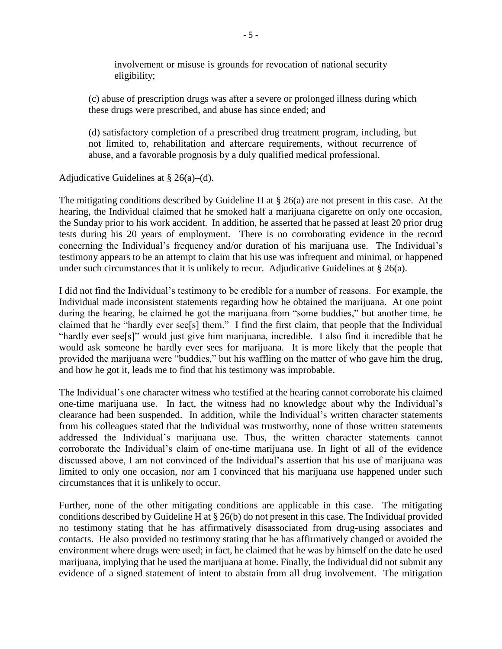involvement or misuse is grounds for revocation of national security eligibility;

(c) abuse of prescription drugs was after a severe or prolonged illness during which these drugs were prescribed, and abuse has since ended; and

(d) satisfactory completion of a prescribed drug treatment program, including, but not limited to, rehabilitation and aftercare requirements, without recurrence of abuse, and a favorable prognosis by a duly qualified medical professional.

#### Adjudicative Guidelines at  $\S$  26(a)–(d).

The mitigating conditions described by Guideline H at § 26(a) are not present in this case. At the hearing, the Individual claimed that he smoked half a marijuana cigarette on only one occasion, the Sunday prior to his work accident. In addition, he asserted that he passed at least 20 prior drug tests during his 20 years of employment. There is no corroborating evidence in the record concerning the Individual's frequency and/or duration of his marijuana use. The Individual's testimony appears to be an attempt to claim that his use was infrequent and minimal, or happened under such circumstances that it is unlikely to recur. Adjudicative Guidelines at  $\S 26(a)$ .

I did not find the Individual's testimony to be credible for a number of reasons. For example, the Individual made inconsistent statements regarding how he obtained the marijuana. At one point during the hearing, he claimed he got the marijuana from "some buddies," but another time, he claimed that he "hardly ever see[s] them." I find the first claim, that people that the Individual "hardly ever see[s]" would just give him marijuana, incredible. I also find it incredible that he would ask someone he hardly ever sees for marijuana. It is more likely that the people that provided the marijuana were "buddies," but his waffling on the matter of who gave him the drug, and how he got it, leads me to find that his testimony was improbable.

The Individual's one character witness who testified at the hearing cannot corroborate his claimed one-time marijuana use. In fact, the witness had no knowledge about why the Individual's clearance had been suspended. In addition, while the Individual's written character statements from his colleagues stated that the Individual was trustworthy, none of those written statements addressed the Individual's marijuana use. Thus, the written character statements cannot corroborate the Individual's claim of one-time marijuana use. In light of all of the evidence discussed above, I am not convinced of the Individual's assertion that his use of marijuana was limited to only one occasion, nor am I convinced that his marijuana use happened under such circumstances that it is unlikely to occur.

Further, none of the other mitigating conditions are applicable in this case. The mitigating conditions described by Guideline H at § 26(b) do not present in this case. The Individual provided no testimony stating that he has affirmatively disassociated from drug-using associates and contacts. He also provided no testimony stating that he has affirmatively changed or avoided the environment where drugs were used; in fact, he claimed that he was by himself on the date he used marijuana, implying that he used the marijuana at home. Finally, the Individual did not submit any evidence of a signed statement of intent to abstain from all drug involvement. The mitigation